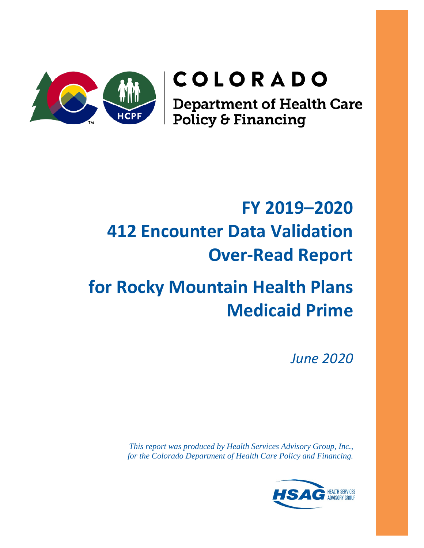

# COLORADO

**Department of Health Care<br>Policy & Financing** 

# **FY 2019–2020 412 Encounter Data Validation Over-Read Report**

# **for Rocky Mountain Health Plans Medicaid Prime**

*June 2020*

*This report was produced by Health Services Advisory Group, Inc., for the Colorado Department of Health Care Policy and Financing.*

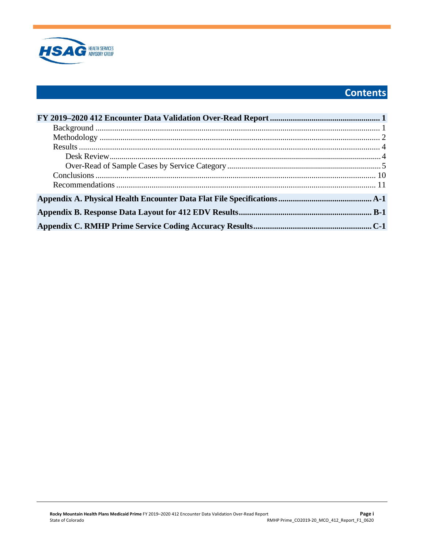

# **Contents**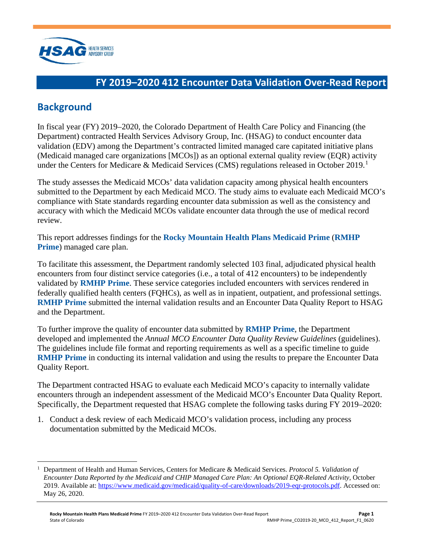

# <span id="page-2-0"></span>**FY 2019–2020 412 Encounter Data Validation Over-Read Report**

## <span id="page-2-1"></span>**Background**

In fiscal year (FY) 2019–2020, the Colorado Department of Health Care Policy and Financing (the Department) contracted Health Services Advisory Group, Inc. (HSAG) to conduct encounter data validation (EDV) among the Department's contracted limited managed care capitated initiative plans (Medicaid managed care organizations [MCOs]) as an optional external quality review (EQR) activity under the Centers for Medicare & Medicaid Services (CMS) regulations released in October 20[1](#page-2-2)9.<sup>1</sup>

The study assesses the Medicaid MCOs' data validation capacity among physical health encounters submitted to the Department by each Medicaid MCO. The study aims to evaluate each Medicaid MCO's compliance with State standards regarding encounter data submission as well as the consistency and accuracy with which the Medicaid MCOs validate encounter data through the use of medical record review.

This report addresses findings for the **Rocky Mountain Health Plans Medicaid Prime** (**RMHP Prime**) managed care plan.

To facilitate this assessment, the Department randomly selected 103 final, adjudicated physical health encounters from four distinct service categories (i.e., a total of 412 encounters) to be independently validated by **RMHP Prime**. These service categories included encounters with services rendered in federally qualified health centers (FQHCs), as well as in inpatient, outpatient, and professional settings. **RMHP Prime** submitted the internal validation results and an Encounter Data Quality Report to HSAG and the Department.

To further improve the quality of encounter data submitted by **RMHP Prime**, the Department developed and implemented the *Annual MCO Encounter Data Quality Review Guidelines* (guidelines). The guidelines include file format and reporting requirements as well as a specific timeline to guide **RMHP Prime** in conducting its internal validation and using the results to prepare the Encounter Data Quality Report.

The Department contracted HSAG to evaluate each Medicaid MCO's capacity to internally validate encounters through an independent assessment of the Medicaid MCO's Encounter Data Quality Report. Specifically, the Department requested that HSAG complete the following tasks during FY 2019–2020:

1. Conduct a desk review of each Medicaid MCO's validation process, including any process documentation submitted by the Medicaid MCOs.

<span id="page-2-2"></span><sup>1</sup> Department of Health and Human Services, Centers for Medicare & Medicaid Services. *Protocol 5. Validation of Encounter Data Reported by the Medicaid and CHIP Managed Care Plan: An Optional EQR-Related Activity*, October 2019. Available at: [https://www.medicaid.gov/medicaid/quality-of-care/downloads/2019-eqr-protocols.pdf.](https://www.medicaid.gov/medicaid/quality-of-care/downloads/2019-eqr-protocols.pdf) Accessed on: May 26, 2020.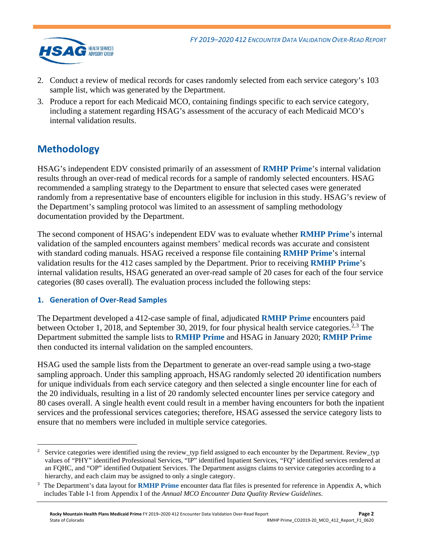

- 2. Conduct a review of medical records for cases randomly selected from each service category's 103 sample list, which was generated by the Department.
- 3. Produce a report for each Medicaid MCO, containing findings specific to each service category, including a statement regarding HSAG's assessment of the accuracy of each Medicaid MCO's internal validation results.

# <span id="page-3-0"></span>**Methodology**

HSAG's independent EDV consisted primarily of an assessment of **RMHP Prime**'s internal validation results through an over-read of medical records for a sample of randomly selected encounters. HSAG recommended a sampling strategy to the Department to ensure that selected cases were generated randomly from a representative base of encounters eligible for inclusion in this study. HSAG's review of the Department's sampling protocol was limited to an assessment of sampling methodology documentation provided by the Department.

The second component of HSAG's independent EDV was to evaluate whether **RMHP Prime**'s internal validation of the sampled encounters against members' medical records was accurate and consistent with standard coding manuals. HSAG received a response file containing **RMHP Prime**'s internal validation results for the 412 cases sampled by the Department. Prior to receiving **RMHP Prime**'s internal validation results, HSAG generated an over-read sample of 20 cases for each of the four service categories (80 cases overall). The evaluation process included the following steps:

## **1. Generation of Over-Read Samples**

The Department developed a 412-case sample of final, adjudicated **RMHP Prime** encounters paid between October 1, 2018, and September 30, 2019, for four physical health service categories.<sup>[2,](#page-3-1)[3](#page-3-2)</sup> The Department submitted the sample lists to **RMHP Prime** and HSAG in January 2020; **RMHP Prime** then conducted its internal validation on the sampled encounters.

HSAG used the sample lists from the Department to generate an over-read sample using a two-stage sampling approach. Under this sampling approach, HSAG randomly selected 20 identification numbers for unique individuals from each service category and then selected a single encounter line for each of the 20 individuals, resulting in a list of 20 randomly selected encounter lines per service category and 80 cases overall. A single health event could result in a member having encounters for both the inpatient services and the professional services categories; therefore, HSAG assessed the service category lists to ensure that no members were included in multiple service categories.

<span id="page-3-1"></span><sup>2</sup> Service categories were identified using the review\_typ field assigned to each encounter by the Department. Review\_typ values of "PHY" identified Professional Services, "IP" identified Inpatient Services, "FQ" identified services rendered at an FQHC, and "OP" identified Outpatient Services. The Department assigns claims to service categories according to a hierarchy, and each claim may be assigned to only a single category.

<span id="page-3-2"></span>The Department's data layout for **RMHP Prime** encounter data flat files is presented for reference in [Appendix A](#page-15-1), which includes Table I-1 from Appendix I of the *Annual MCO Encounter Data Quality Review Guidelines*.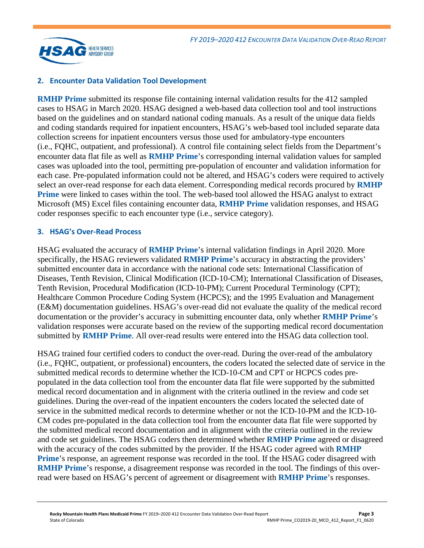

#### **2. Encounter Data Validation Tool Development**

**RMHP Prime** submitted its response file containing internal validation results for the 412 sampled cases to HSAG in March 2020. HSAG designed a web-based data collection tool and tool instructions based on the guidelines and on standard national coding manuals. As a result of the unique data fields and coding standards required for inpatient encounters, HSAG's web-based tool included separate data collection screens for inpatient encounters versus those used for ambulatory-type encounters (i.e., FQHC, outpatient, and professional). A control file containing select fields from the Department's encounter data flat file as well as **RMHP Prime**'s corresponding internal validation values for sampled cases was uploaded into the tool, permitting pre-population of encounter and validation information for each case. Pre-populated information could not be altered, and HSAG's coders were required to actively select an over-read response for each data element. Corresponding medical records procured by **RMHP Prime** were linked to cases within the tool. The web-based tool allowed the HSAG analyst to extract Microsoft (MS) Excel files containing encounter data, **RMHP Prime** validation responses, and HSAG coder responses specific to each encounter type (i.e., service category).

#### **3. HSAG's Over-Read Process**

HSAG evaluated the accuracy of **RMHP Prime**'s internal validation findings in April 2020. More specifically, the HSAG reviewers validated **RMHP Prime**'s accuracy in abstracting the providers' submitted encounter data in accordance with the national code sets: International Classification of Diseases, Tenth Revision, Clinical Modification (ICD-10-CM); International Classification of Diseases, Tenth Revision, Procedural Modification (ICD-10-PM); Current Procedural Terminology (CPT); Healthcare Common Procedure Coding System (HCPCS); and the 1995 Evaluation and Management (E&M) documentation guidelines. HSAG's over-read did not evaluate the quality of the medical record documentation or the provider's accuracy in submitting encounter data, only whether **RMHP Prime**'s validation responses were accurate based on the review of the supporting medical record documentation submitted by **RMHP Prime**. All over-read results were entered into the HSAG data collection tool.

HSAG trained four certified coders to conduct the over-read. During the over-read of the ambulatory (i.e., FQHC, outpatient, or professional) encounters, the coders located the selected date of service in the submitted medical records to determine whether the ICD-10-CM and CPT or HCPCS codes prepopulated in the data collection tool from the encounter data flat file were supported by the submitted medical record documentation and in alignment with the criteria outlined in the review and code set guidelines. During the over-read of the inpatient encounters the coders located the selected date of service in the submitted medical records to determine whether or not the ICD-10-PM and the ICD-10- CM codes pre-populated in the data collection tool from the encounter data flat file were supported by the submitted medical record documentation and in alignment with the criteria outlined in the review and code set guidelines. The HSAG coders then determined whether **RMHP Prime** agreed or disagreed with the accuracy of the codes submitted by the provider. If the HSAG coder agreed with **RMHP Prime**'s response, an agreement response was recorded in the tool. If the HSAG coder disagreed with **RMHP Prime**'s response, a disagreement response was recorded in the tool. The findings of this overread were based on HSAG's percent of agreement or disagreement with **RMHP Prime**'s responses.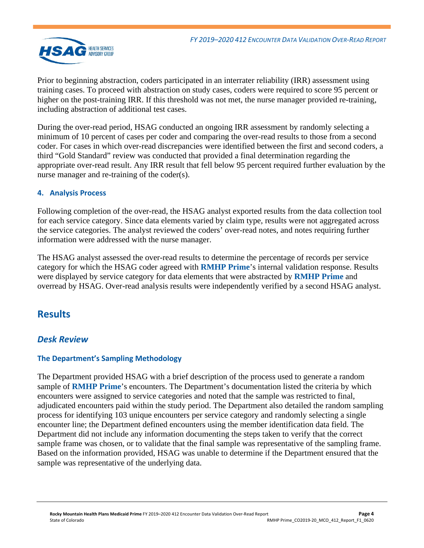

Prior to beginning abstraction, coders participated in an interrater reliability (IRR) assessment using training cases. To proceed with abstraction on study cases, coders were required to score 95 percent or higher on the post-training IRR. If this threshold was not met, the nurse manager provided re-training, including abstraction of additional test cases.

During the over-read period, HSAG conducted an ongoing IRR assessment by randomly selecting a minimum of 10 percent of cases per coder and comparing the over-read results to those from a second coder. For cases in which over-read discrepancies were identified between the first and second coders, a third "Gold Standard" review was conducted that provided a final determination regarding the appropriate over-read result. Any IRR result that fell below 95 percent required further evaluation by the nurse manager and re-training of the coder(s).

## **4. Analysis Process**

Following completion of the over-read, the HSAG analyst exported results from the data collection tool for each service category. Since data elements varied by claim type, results were not aggregated across the service categories. The analyst reviewed the coders' over-read notes, and notes requiring further information were addressed with the nurse manager.

The HSAG analyst assessed the over-read results to determine the percentage of records per service category for which the HSAG coder agreed with **RMHP Prime**'s internal validation response. Results were displayed by service category for data elements that were abstracted by **RMHP Prime** and overread by HSAG. Over-read analysis results were independently verified by a second HSAG analyst.

## <span id="page-5-0"></span>**Results**

## <span id="page-5-1"></span>*Desk Review*

## **The Department's Sampling Methodology**

The Department provided HSAG with a brief description of the process used to generate a random sample of **RMHP Prime**'s encounters. The Department's documentation listed the criteria by which encounters were assigned to service categories and noted that the sample was restricted to final, adjudicated encounters paid within the study period. The Department also detailed the random sampling process for identifying 103 unique encounters per service category and randomly selecting a single encounter line; the Department defined encounters using the member identification data field. The Department did not include any information documenting the steps taken to verify that the correct sample frame was chosen, or to validate that the final sample was representative of the sampling frame. Based on the information provided, HSAG was unable to determine if the Department ensured that the sample was representative of the underlying data.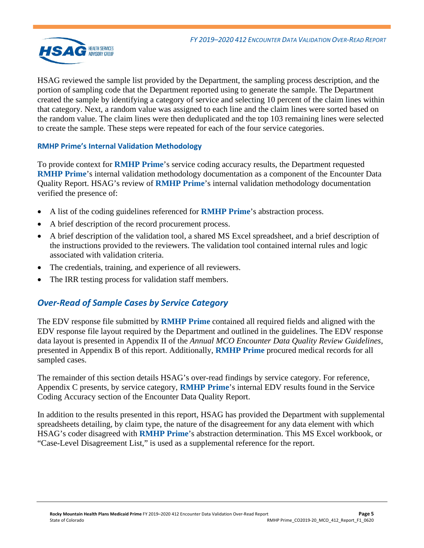

HSAG reviewed the sample list provided by the Department, the sampling process description, and the portion of sampling code that the Department reported using to generate the sample. The Department created the sample by identifying a category of service and selecting 10 percent of the claim lines within that category. Next, a random value was assigned to each line and the claim lines were sorted based on the random value. The claim lines were then deduplicated and the top 103 remaining lines were selected to create the sample. These steps were repeated for each of the four service categories.

## **RMHP Prime's Internal Validation Methodology**

To provide context for **RMHP Prime**'s service coding accuracy results, the Department requested **RMHP Prime**'s internal validation methodology documentation as a component of the Encounter Data Quality Report. HSAG's review of **RMHP Prime**'s internal validation methodology documentation verified the presence of:

- A list of the coding guidelines referenced for **RMHP Prime**'s abstraction process.
- A brief description of the record procurement process.
- A brief description of the validation tool, a shared MS Excel spreadsheet, and a brief description of the instructions provided to the reviewers. The validation tool contained internal rules and logic associated with validation criteria.
- The credentials, training, and experience of all reviewers.
- <span id="page-6-0"></span>The IRR testing process for validation staff members.

## *Over-Read of Sample Cases by Service Category*

The EDV response file submitted by **RMHP Prime** contained all required fields and aligned with the EDV response file layout required by the Department and outlined in the guidelines. The EDV response data layout is presented in Appendix II of the *Annual MCO Encounter Data Quality Review Guidelines*, presented in [Appendix B](#page-18-1) of this report. Additionally, **RMHP Prime** procured medical records for all sampled cases.

The remainder of this section details HSAG's over-read findings by service category. For reference, [Appendix C](#page-24-1) presents, by service category, **RMHP Prime**'s internal EDV results found in the Service Coding Accuracy section of the Encounter Data Quality Report.

In addition to the results presented in this report, HSAG has provided the Department with supplemental spreadsheets detailing, by claim type, the nature of the disagreement for any data element with which HSAG's coder disagreed with **RMHP Prime**'s abstraction determination. This MS Excel workbook, or "Case-Level Disagreement List," is used as a supplemental reference for the report.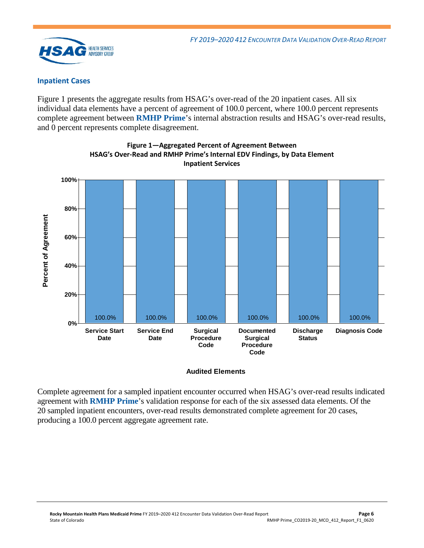

#### **Inpatient Cases**

[Figure 1](#page-7-0) presents the aggregate results from HSAG's over-read of the 20 inpatient cases. All six individual data elements have a percent of agreement of 100.0 percent, where 100.0 percent represents complete agreement between **RMHP Prime**'s internal abstraction results and HSAG's over-read results, and 0 percent represents complete disagreement.

<span id="page-7-0"></span>

**Figure 1—Aggregated Percent of Agreement Between HSAG's Over-Read and RMHP Prime's Internal EDV Findings, by Data Element Inpatient Services**

#### **Audited Elements**

Complete agreement for a sampled inpatient encounter occurred when HSAG's over-read results indicated agreement with **RMHP Prime**'s validation response for each of the six assessed data elements. Of the 20 sampled inpatient encounters, over-read results demonstrated complete agreement for 20 cases, producing a 100.0 percent aggregate agreement rate.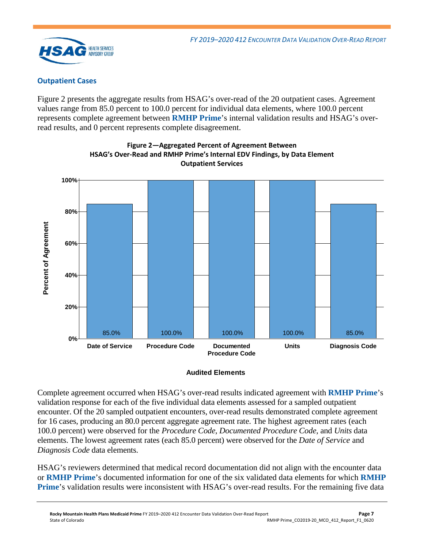

## **Outpatient Cases**

[Figure 2](#page-8-0) presents the aggregate results from HSAG's over-read of the 20 outpatient cases. Agreement values range from 85.0 percent to 100.0 percent for individual data elements, where 100.0 percent represents complete agreement between **RMHP Prime**'s internal validation results and HSAG's overread results, and 0 percent represents complete disagreement.

<span id="page-8-0"></span>

**Figure 2—Aggregated Percent of Agreement Between HSAG's Over-Read and RMHP Prime's Internal EDV Findings, by Data Element Outpatient Services**

#### **Audited Elements**

Complete agreement occurred when HSAG's over-read results indicated agreement with **RMHP Prime**'s validation response for each of the five individual data elements assessed for a sampled outpatient encounter. Of the 20 sampled outpatient encounters, over-read results demonstrated complete agreement for 16 cases, producing an 80.0 percent aggregate agreement rate. The highest agreement rates (each 100.0 percent) were observed for the *Procedure Code*, *Documented Procedure Code*, and *Units* data elements. The lowest agreement rates (each 85.0 percent) were observed for the *Date of Service* and *Diagnosis Code* data elements.

HSAG's reviewers determined that medical record documentation did not align with the encounter data or **RMHP Prime**'s documented information for one of the six validated data elements for which **RMHP Prime**'s validation results were inconsistent with HSAG's over-read results. For the remaining five data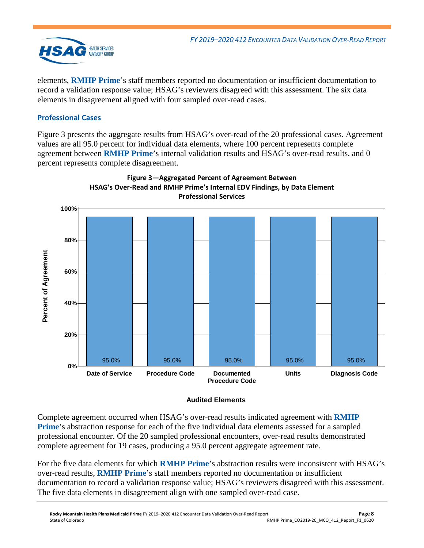

elements, **RMHP Prime**'s staff members reported no documentation or insufficient documentation to record a validation response value; HSAG's reviewers disagreed with this assessment. The six data elements in disagreement aligned with four sampled over-read cases.

## **Professional Cases**

[Figure 3](#page-9-0) presents the aggregate results from HSAG's over-read of the 20 professional cases. Agreement values are all 95.0 percent for individual data elements, where 100 percent represents complete agreement between **RMHP Prime**'s internal validation results and HSAG's over-read results, and 0 percent represents complete disagreement.

<span id="page-9-0"></span>

# **Figure 3—Aggregated Percent of Agreement Between**

## **Audited Elements**

Complete agreement occurred when HSAG's over-read results indicated agreement with **RMHP Prime**'s abstraction response for each of the five individual data elements assessed for a sampled professional encounter. Of the 20 sampled professional encounters, over-read results demonstrated complete agreement for 19 cases, producing a 95.0 percent aggregate agreement rate.

For the five data elements for which **RMHP Prime**'s abstraction results were inconsistent with HSAG's over-read results, **RMHP Prime**'s staff members reported no documentation or insufficient documentation to record a validation response value; HSAG's reviewers disagreed with this assessment. The five data elements in disagreement align with one sampled over-read case.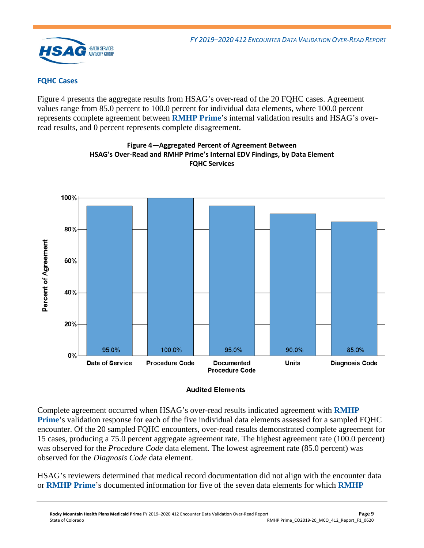

## **FQHC Cases**

[Figure 4](#page-10-0) presents the aggregate results from HSAG's over-read of the 20 FQHC cases. Agreement values range from 85.0 percent to 100.0 percent for individual data elements, where 100.0 percent represents complete agreement between **RMHP Prime**'s internal validation results and HSAG's overread results, and 0 percent represents complete disagreement.

<span id="page-10-0"></span>

**Figure 4—Aggregated Percent of Agreement Between HSAG's Over-Read and RMHP Prime's Internal EDV Findings, by Data Element FQHC Services**

Complete agreement occurred when HSAG's over-read results indicated agreement with **RMHP Prime**'s validation response for each of the five individual data elements assessed for a sampled FQHC encounter. Of the 20 sampled FQHC encounters, over-read results demonstrated complete agreement for 15 cases, producing a 75.0 percent aggregate agreement rate. The highest agreement rate (100.0 percent) was observed for the *Procedure Code* data element*.* The lowest agreement rate (85.0 percent) was observed for the *Diagnosis Code* data element.

HSAG's reviewers determined that medical record documentation did not align with the encounter data or **RMHP Prime**'s documented information for five of the seven data elements for which **RMHP**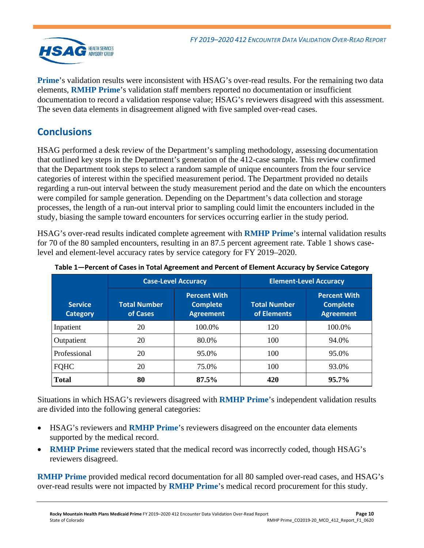

**Prime**'s validation results were inconsistent with HSAG's over-read results. For the remaining two data elements, **RMHP Prime**'s validation staff members reported no documentation or insufficient documentation to record a validation response value; HSAG's reviewers disagreed with this assessment. The seven data elements in disagreement aligned with five sampled over-read cases.

# <span id="page-11-0"></span>**Conclusions**

HSAG performed a desk review of the Department's sampling methodology, assessing documentation that outlined key steps in the Department's generation of the 412-case sample. This review confirmed that the Department took steps to select a random sample of unique encounters from the four service categories of interest within the specified measurement period. The Department provided no details regarding a run-out interval between the study measurement period and the date on which the encounters were compiled for sample generation. Depending on the Department's data collection and storage processes, the length of a run-out interval prior to sampling could limit the encounters included in the study, biasing the sample toward encounters for services occurring earlier in the study period.

HSAG's over-read results indicated complete agreement with **RMHP Prime**'s internal validation results for 70 of the 80 sampled encounters, resulting in an 87.5 percent agreement rate. [Table 1](#page-11-1) shows caselevel and element-level accuracy rates by service category for FY 2019–2020.

|                                   |                                 | <b>Case-Level Accuracy</b>                                 | <b>Element-Level Accuracy</b>      |                                                            |  |
|-----------------------------------|---------------------------------|------------------------------------------------------------|------------------------------------|------------------------------------------------------------|--|
| <b>Service</b><br><b>Category</b> | <b>Total Number</b><br>of Cases | <b>Percent With</b><br><b>Complete</b><br><b>Agreement</b> | <b>Total Number</b><br>of Elements | <b>Percent With</b><br><b>Complete</b><br><b>Agreement</b> |  |
| Inpatient                         | 20                              | 100.0%                                                     | 120                                | 100.0%                                                     |  |
| Outpatient                        | 20                              | 80.0%                                                      | 100                                | 94.0%                                                      |  |
| Professional                      | 20                              | 95.0%                                                      | 100                                | 95.0%                                                      |  |
| <b>FQHC</b>                       | 20                              | 75.0%                                                      | 100                                | 93.0%                                                      |  |
| <b>Total</b>                      | 80                              | 87.5%                                                      | 420                                | 95.7%                                                      |  |

<span id="page-11-1"></span>**Table 1—Percent of Cases in Total Agreement and Percent of Element Accuracy by Service Category**

Situations in which HSAG's reviewers disagreed with **RMHP Prime**'s independent validation results are divided into the following general categories:

- HSAG's reviewers and **RMHP Prime**'s reviewers disagreed on the encounter data elements supported by the medical record.
- **RMHP Prime** reviewers stated that the medical record was incorrectly coded, though HSAG's reviewers disagreed.

**RMHP Prime** provided medical record documentation for all 80 sampled over-read cases, and HSAG's over-read results were not impacted by **RMHP Prime**'s medical record procurement for this study.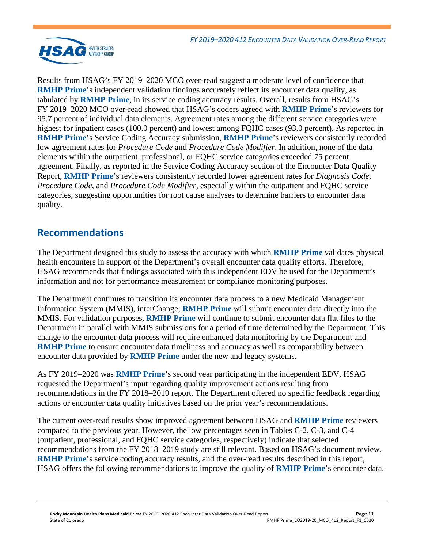

Results from HSAG's FY 2019–2020 MCO over-read suggest a moderate level of confidence that **RMHP Prime's** independent validation findings accurately reflect its encounter data quality, as tabulated by **RMHP Prime**, in its service coding accuracy results. Overall, results from HSAG's FY 2019–2020 MCO over-read showed that HSAG's coders agreed with **RMHP Prime**'s reviewers for 95.7 percent of individual data elements. Agreement rates among the different service categories were highest for inpatient cases (100.0 percent) and lowest among FQHC cases (93.0 percent). As reported in **RMHP Prime**'s Service Coding Accuracy submission, **RMHP Prime**'s reviewers consistently recorded low agreement rates for *Procedure Code* and *Procedure Code Modifier*. In addition, none of the data elements within the outpatient, professional, or FQHC service categories exceeded 75 percent agreement. Finally, as reported in the Service Coding Accuracy section of the Encounter Data Quality Report, **RMHP Prime**'s reviewers consistently recorded lower agreement rates for *Diagnosis Code*, *Procedure Code*, and *Procedure Code Modifier*, especially within the outpatient and FQHC service categories, suggesting opportunities for root cause analyses to determine barriers to encounter data quality*.*

## <span id="page-12-0"></span>**Recommendations**

The Department designed this study to assess the accuracy with which **RMHP Prime** validates physical health encounters in support of the Department's overall encounter data quality efforts. Therefore, HSAG recommends that findings associated with this independent EDV be used for the Department's information and not for performance measurement or compliance monitoring purposes.

The Department continues to transition its encounter data process to a new Medicaid Management Information System (MMIS), interChange; **RMHP Prime** will submit encounter data directly into the MMIS. For validation purposes, **RMHP Prime** will continue to submit encounter data flat files to the Department in parallel with MMIS submissions for a period of time determined by the Department. This change to the encounter data process will require enhanced data monitoring by the Department and **RMHP Prime** to ensure encounter data timeliness and accuracy as well as comparability between encounter data provided by **RMHP Prime** under the new and legacy systems.

As FY 2019–2020 was **RMHP Prime**'s second year participating in the independent EDV, HSAG requested the Department's input regarding quality improvement actions resulting from recommendations in the FY 2018–2019 report. The Department offered no specific feedback regarding actions or encounter data quality initiatives based on the prior year's recommendations.

The current over-read results show improved agreement between HSAG and **RMHP Prime** reviewers compared to the previous year. However, the low percentages seen in Tables C-2, C-3, and C-4 (outpatient, professional, and FQHC service categories, respectively) indicate that selected recommendations from the FY 2018–2019 study are still relevant. Based on HSAG's document review, **RMHP Prime**'s service coding accuracy results, and the over-read results described in this report, HSAG offers the following recommendations to improve the quality of **RMHP Prime**'s encounter data.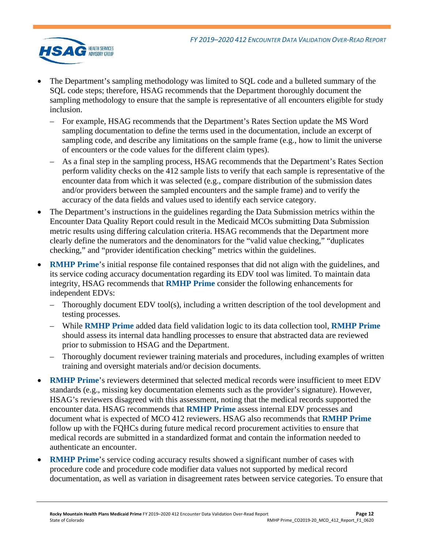

- The Department's sampling methodology was limited to SQL code and a bulleted summary of the SQL code steps; therefore, HSAG recommends that the Department thoroughly document the sampling methodology to ensure that the sample is representative of all encounters eligible for study inclusion.
	- For example, HSAG recommends that the Department's Rates Section update the MS Word sampling documentation to define the terms used in the documentation, include an excerpt of sampling code, and describe any limitations on the sample frame (e.g., how to limit the universe of encounters or the code values for the different claim types).
	- As a final step in the sampling process, HSAG recommends that the Department's Rates Section perform validity checks on the 412 sample lists to verify that each sample is representative of the encounter data from which it was selected (e.g., compare distribution of the submission dates and/or providers between the sampled encounters and the sample frame) and to verify the accuracy of the data fields and values used to identify each service category.
- The Department's instructions in the guidelines regarding the Data Submission metrics within the Encounter Data Quality Report could result in the Medicaid MCOs submitting Data Submission metric results using differing calculation criteria. HSAG recommends that the Department more clearly define the numerators and the denominators for the "valid value checking," "duplicates checking," and "provider identification checking" metrics within the guidelines.
- **RMHP Prime's** initial response file contained responses that did not align with the guidelines, and its service coding accuracy documentation regarding its EDV tool was limited. To maintain data integrity, HSAG recommends that **RMHP Prime** consider the following enhancements for independent EDVs:
	- Thoroughly document EDV tool(s), including a written description of the tool development and testing processes.
	- While **RMHP Prime** added data field validation logic to its data collection tool, **RMHP Prime** should assess its internal data handling processes to ensure that abstracted data are reviewed prior to submission to HSAG and the Department.
	- Thoroughly document reviewer training materials and procedures, including examples of written training and oversight materials and/or decision documents.
- **RMHP Prime**'s reviewers determined that selected medical records were insufficient to meet EDV standards (e.g., missing key documentation elements such as the provider's signature). However, HSAG's reviewers disagreed with this assessment, noting that the medical records supported the encounter data. HSAG recommends that **RMHP Prime** assess internal EDV processes and document what is expected of MCO 412 reviewers. HSAG also recommends that **RMHP Prime** follow up with the FQHCs during future medical record procurement activities to ensure that medical records are submitted in a standardized format and contain the information needed to authenticate an encounter.
- **RMHP Prime's service coding accuracy results showed a significant number of cases with** procedure code and procedure code modifier data values not supported by medical record documentation, as well as variation in disagreement rates between service categories. To ensure that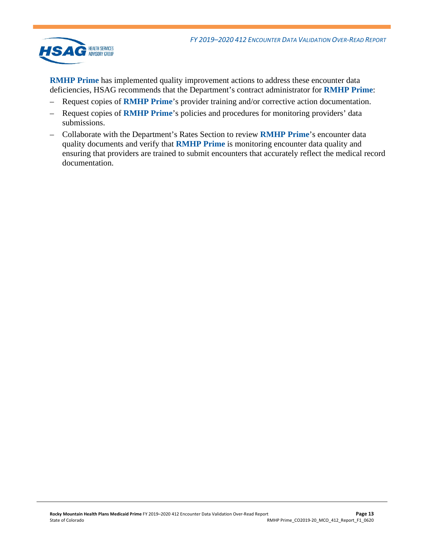

**RMHP Prime** has implemented quality improvement actions to address these encounter data deficiencies, HSAG recommends that the Department's contract administrator for **RMHP Prime**:

- Request copies of **RMHP Prime**'s provider training and/or corrective action documentation.
- Request copies of **RMHP Prime**'s policies and procedures for monitoring providers' data submissions.
- Collaborate with the Department's Rates Section to review **RMHP Prime**'s encounter data quality documents and verify that **RMHP Prime** is monitoring encounter data quality and ensuring that providers are trained to submit encounters that accurately reflect the medical record documentation.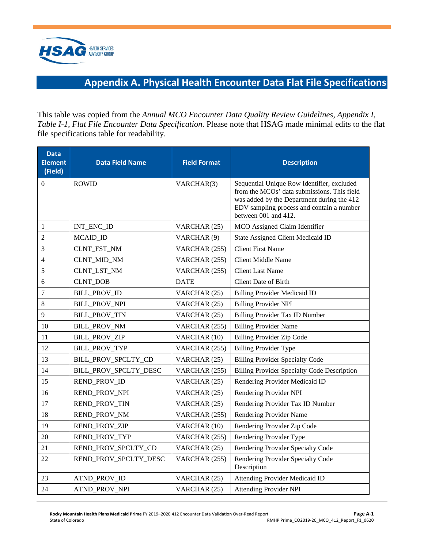<span id="page-15-1"></span>

# **Appendix A. Physical Health Encounter Data Flat File Specifications**

<span id="page-15-0"></span>This table was copied from the *Annual MCO Encounter Data Quality Review Guidelines, Appendix I, Table I-1, Flat File Encounter Data Specification*. Please note that HSAG made minimal edits to the flat file specifications table for readability.

| <b>Data</b><br><b>Element</b><br>(Field) | <b>Data Field Name</b> | <b>Field Format</b> | <b>Description</b>                                                                                                                                                                                           |
|------------------------------------------|------------------------|---------------------|--------------------------------------------------------------------------------------------------------------------------------------------------------------------------------------------------------------|
| 0                                        | <b>ROWID</b>           | VARCHAR(3)          | Sequential Unique Row Identifier, excluded<br>from the MCOs' data submissions. This field<br>was added by the Department during the 412<br>EDV sampling process and contain a number<br>between 001 and 412. |
| 1                                        | INT_ENC_ID             | VARCHAR (25)        | MCO Assigned Claim Identifier                                                                                                                                                                                |
| $\overline{c}$                           | MCAID_ID               | VARCHAR (9)         | <b>State Assigned Client Medicaid ID</b>                                                                                                                                                                     |
| 3                                        | CLNT_FST_NM            | VARCHAR (255)       | <b>Client First Name</b>                                                                                                                                                                                     |
| 4                                        | CLNT_MID_NM            | VARCHAR (255)       | <b>Client Middle Name</b>                                                                                                                                                                                    |
| 5                                        | CLNT_LST_NM            | VARCHAR (255)       | <b>Client Last Name</b>                                                                                                                                                                                      |
| 6                                        | <b>CLNT_DOB</b>        | <b>DATE</b>         | Client Date of Birth                                                                                                                                                                                         |
| 7                                        | <b>BILL_PROV_ID</b>    | VARCHAR (25)        | <b>Billing Provider Medicaid ID</b>                                                                                                                                                                          |
| 8                                        | <b>BILL_PROV_NPI</b>   | VARCHAR (25)        | <b>Billing Provider NPI</b>                                                                                                                                                                                  |
| 9                                        | <b>BILL_PROV_TIN</b>   | VARCHAR (25)        | Billing Provider Tax ID Number                                                                                                                                                                               |
| 10                                       | BILL_PROV_NM           | VARCHAR (255)       | <b>Billing Provider Name</b>                                                                                                                                                                                 |
| 11                                       | BILL_PROV_ZIP          | VARCHAR (10)        | <b>Billing Provider Zip Code</b>                                                                                                                                                                             |
| 12                                       | BILL_PROV_TYP          | VARCHAR (255)       | <b>Billing Provider Type</b>                                                                                                                                                                                 |
| 13                                       | BILL_PROV_SPCLTY_CD    | VARCHAR (25)        | <b>Billing Provider Specialty Code</b>                                                                                                                                                                       |
| 14                                       | BILL_PROV_SPCLTY_DESC  | VARCHAR (255)       | <b>Billing Provider Specialty Code Description</b>                                                                                                                                                           |
| 15                                       | REND_PROV_ID           | VARCHAR (25)        | Rendering Provider Medicaid ID                                                                                                                                                                               |
| 16                                       | REND_PROV_NPI          | VARCHAR (25)        | Rendering Provider NPI                                                                                                                                                                                       |
| 17                                       | REND_PROV_TIN          | VARCHAR (25)        | Rendering Provider Tax ID Number                                                                                                                                                                             |
| 18                                       | REND_PROV_NM           | VARCHAR (255)       | Rendering Provider Name                                                                                                                                                                                      |
| 19                                       | REND_PROV_ZIP          | VARCHAR (10)        | Rendering Provider Zip Code                                                                                                                                                                                  |
| 20                                       | REND_PROV_TYP          | VARCHAR (255)       | Rendering Provider Type                                                                                                                                                                                      |
| 21                                       | REND_PROV_SPCLTY_CD    | VARCHAR (25)        | Rendering Provider Specialty Code                                                                                                                                                                            |
| 22                                       | REND_PROV_SPCLTY_DESC  | VARCHAR (255)       | Rendering Provider Specialty Code<br>Description                                                                                                                                                             |
| 23                                       | ATND_PROV_ID           | VARCHAR (25)        | <b>Attending Provider Medicaid ID</b>                                                                                                                                                                        |
| 24                                       | ATND_PROV_NPI          | VARCHAR (25)        | <b>Attending Provider NPI</b>                                                                                                                                                                                |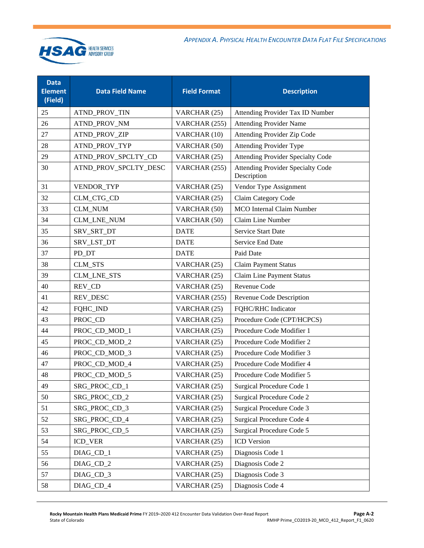

| <b>Data</b><br><b>Element</b><br>(Field) | <b>Data Field Name</b> | <b>Field Format</b> | <b>Description</b>                                      |
|------------------------------------------|------------------------|---------------------|---------------------------------------------------------|
| 25                                       | ATND_PROV_TIN          | VARCHAR (25)        | Attending Provider Tax ID Number                        |
| 26                                       | ATND_PROV_NM           | VARCHAR (255)       | <b>Attending Provider Name</b>                          |
| 27                                       | ATND_PROV_ZIP          | VARCHAR (10)        | Attending Provider Zip Code                             |
| 28                                       | ATND_PROV_TYP          | VARCHAR (50)        | <b>Attending Provider Type</b>                          |
| 29                                       | ATND_PROV_SPCLTY_CD    | VARCHAR (25)        | <b>Attending Provider Specialty Code</b>                |
| 30                                       | ATND_PROV_SPCLTY_DESC  | VARCHAR (255)       | <b>Attending Provider Specialty Code</b><br>Description |
| 31                                       | VENDOR_TYP             | VARCHAR (25)        | Vendor Type Assignment                                  |
| 32                                       | CLM_CTG_CD             | VARCHAR (25)        | Claim Category Code                                     |
| 33                                       | <b>CLM_NUM</b>         | VARCHAR (50)        | <b>MCO</b> Internal Claim Number                        |
| 34                                       | CLM_LNE_NUM            | VARCHAR (50)        | Claim Line Number                                       |
| 35                                       | SRV_SRT_DT             | <b>DATE</b>         | <b>Service Start Date</b>                               |
| 36                                       | SRV_LST_DT             | <b>DATE</b>         | Service End Date                                        |
| 37                                       | PD_DT                  | <b>DATE</b>         | Paid Date                                               |
| 38                                       | CLM_STS                | VARCHAR (25)        | <b>Claim Payment Status</b>                             |
| 39                                       | CLM_LNE_STS            | VARCHAR (25)        | <b>Claim Line Payment Status</b>                        |
| 40                                       | REV_CD                 | VARCHAR (25)        | Revenue Code                                            |
| 41                                       | REV_DESC               | VARCHAR (255)       | Revenue Code Description                                |
| 42                                       | FQHC_IND               | VARCHAR (25)        | FQHC/RHC Indicator                                      |
| 43                                       | PROC_CD                | VARCHAR (25)        | Procedure Code (CPT/HCPCS)                              |
| 44                                       | PROC_CD_MOD_1          | VARCHAR (25)        | Procedure Code Modifier 1                               |
| 45                                       | PROC_CD_MOD_2          | VARCHAR (25)        | Procedure Code Modifier 2                               |
| 46                                       | PROC_CD_MOD_3          | VARCHAR (25)        | Procedure Code Modifier 3                               |
| 47                                       | PROC_CD_MOD_4          | VARCHAR (25)        | Procedure Code Modifier 4                               |
| 48                                       | PROC_CD_MOD_5          | VARCHAR (25)        | Procedure Code Modifier 5                               |
| 49                                       | SRG_PROC_CD_1          | VARCHAR (25)        | Surgical Procedure Code 1                               |
| 50                                       | SRG_PROC_CD_2          | VARCHAR (25)        | Surgical Procedure Code 2                               |
| 51                                       | SRG_PROC_CD_3          | VARCHAR (25)        | Surgical Procedure Code 3                               |
| 52                                       | SRG_PROC_CD_4          | VARCHAR (25)        | Surgical Procedure Code 4                               |
| 53                                       | SRG_PROC_CD_5          | VARCHAR (25)        | Surgical Procedure Code 5                               |
| 54                                       | <b>ICD_VER</b>         | VARCHAR (25)        | <b>ICD</b> Version                                      |
| 55                                       | DIAG_CD_1              | VARCHAR (25)        | Diagnosis Code 1                                        |
| 56                                       | DIAG_CD_2              | VARCHAR (25)        | Diagnosis Code 2                                        |
| 57                                       | DIAG_CD_3              | VARCHAR (25)        | Diagnosis Code 3                                        |
| 58                                       | DIAG_CD_4              | VARCHAR (25)        | Diagnosis Code 4                                        |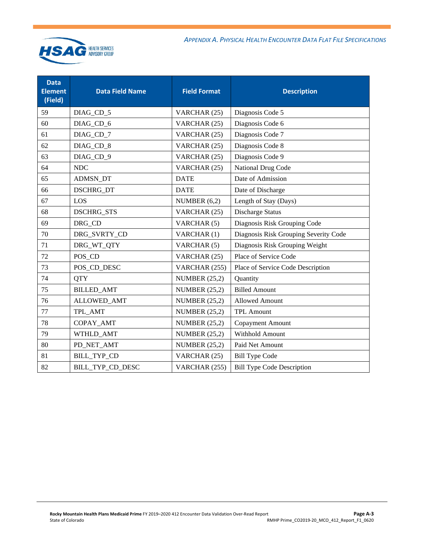

| <b>Data</b><br><b>Element</b><br>(Field) | <b>Data Field Name</b> | <b>Field Format</b>  | <b>Description</b>                    |
|------------------------------------------|------------------------|----------------------|---------------------------------------|
| 59                                       | DIAG_CD_5              | VARCHAR (25)         | Diagnosis Code 5                      |
| 60                                       | DIAG_CD_6              | VARCHAR (25)         | Diagnosis Code 6                      |
| 61                                       | DIAG_CD_7              | VARCHAR (25)         | Diagnosis Code 7                      |
| 62                                       | DIAG_CD_8              | VARCHAR (25)         | Diagnosis Code 8                      |
| 63                                       | DIAG_CD_9              | VARCHAR (25)         | Diagnosis Code 9                      |
| 64                                       | <b>NDC</b>             | VARCHAR (25)         | National Drug Code                    |
| 65                                       | ADMSN_DT               | <b>DATE</b>          | Date of Admission                     |
| 66                                       | DSCHRG_DT              | <b>DATE</b>          | Date of Discharge                     |
| 67                                       | LOS                    | NUMBER $(6,2)$       | Length of Stay (Days)                 |
| 68                                       | <b>DSCHRG_STS</b>      | VARCHAR (25)         | Discharge Status                      |
| 69                                       | DRG CD                 | VARCHAR (5)          | Diagnosis Risk Grouping Code          |
| 70                                       | DRG_SVRTY_CD           | VARCHAR (1)          | Diagnosis Risk Grouping Severity Code |
| 71                                       | DRG_WT_QTY             | VARCHAR (5)          | Diagnosis Risk Grouping Weight        |
| 72                                       | POS_CD                 | VARCHAR (25)         | Place of Service Code                 |
| 73                                       | POS_CD_DESC            | VARCHAR (255)        | Place of Service Code Description     |
| 74                                       | <b>QTY</b>             | <b>NUMBER</b> (25,2) | Quantity                              |
| 75                                       | <b>BILLED_AMT</b>      | <b>NUMBER (25,2)</b> | <b>Billed Amount</b>                  |
| 76                                       | <b>ALLOWED_AMT</b>     | <b>NUMBER (25,2)</b> | <b>Allowed Amount</b>                 |
| 77                                       | TPL_AMT                | <b>NUMBER (25,2)</b> | <b>TPL Amount</b>                     |
| 78                                       | COPAY_AMT              | <b>NUMBER (25,2)</b> | <b>Copayment Amount</b>               |
| 79                                       | WTHLD_AMT              | <b>NUMBER (25,2)</b> | Withhold Amount                       |
| 80                                       | PD_NET_AMT             | <b>NUMBER</b> (25,2) | Paid Net Amount                       |
| 81                                       | <b>BILL_TYP_CD</b>     | VARCHAR (25)         | <b>Bill Type Code</b>                 |
| 82                                       | BILL_TYP_CD_DESC       | VARCHAR (255)        | <b>Bill Type Code Description</b>     |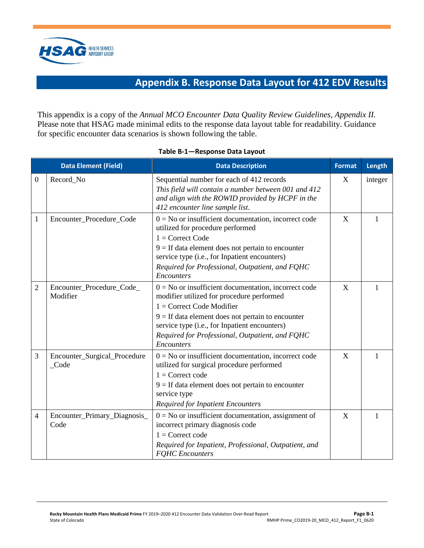<span id="page-18-1"></span>

# **Appendix B. Response Data Layout for 412 EDV Results**

<span id="page-18-0"></span>This appendix is a copy of the *Annual MCO Encounter Data Quality Review Guidelines, Appendix II.*  Please note that HSAG made minimal edits to the response data layout table for readability. Guidance for specific encounter data scenarios is shown following the table.

<span id="page-18-2"></span>

|                  | <b>Data Element (Field)</b>                     | <b>Data Description</b>                                                                                                                                                                                                                                                                                     | <b>Format</b> | Length  |
|------------------|-------------------------------------------------|-------------------------------------------------------------------------------------------------------------------------------------------------------------------------------------------------------------------------------------------------------------------------------------------------------------|---------------|---------|
| $\boldsymbol{0}$ | Record_No                                       | Sequential number for each of 412 records<br>This field will contain a number between 001 and 412<br>and align with the ROWID provided by HCPF in the<br>412 encounter line sample list.                                                                                                                    | X             | integer |
| $\mathbf{1}$     | Encounter_Procedure_Code                        | $0 = No$ or insufficient documentation, incorrect code<br>utilized for procedure performed<br>$1 =$ Correct Code<br>$9 =$ If data element does not pertain to encounter<br>service type (i.e., for Inpatient encounters)<br>Required for Professional, Outpatient, and FQHC<br>Encounters                   | X             | 1       |
| 2                | Encounter_Procedure_Code_<br>Modifier           | $0 = No$ or insufficient documentation, incorrect code<br>modifier utilized for procedure performed<br>$1 =$ Correct Code Modifier<br>$9 =$ If data element does not pertain to encounter<br>service type (i.e., for Inpatient encounters)<br>Required for Professional, Outpatient, and FQHC<br>Encounters | X             | 1       |
| 3                | Encounter_Surgical_Procedure<br>$\_\text{Code}$ | $0 = No$ or insufficient documentation, incorrect code<br>utilized for surgical procedure performed<br>$1 =$ Correct code<br>$9 =$ If data element does not pertain to encounter<br>service type<br><b>Required for Inpatient Encounters</b>                                                                | X             | 1       |
| $\overline{4}$   | Encounter_Primary_Diagnosis_<br>Code            | $0 = No$ or insufficient documentation, assignment of<br>incorrect primary diagnosis code<br>$1 =$ Correct code<br>Required for Inpatient, Professional, Outpatient, and<br><b>FQHC</b> Encounters                                                                                                          | X             | 1       |

#### **Table B-1—Response Data Layout**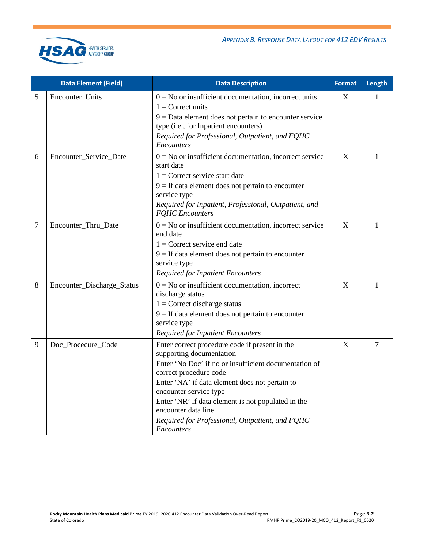

|   | <b>Data Element (Field)</b> | <b>Data Description</b>                                                                                                                                                                                                                                                                                                                                                                        | <b>Format</b>    | Length         |
|---|-----------------------------|------------------------------------------------------------------------------------------------------------------------------------------------------------------------------------------------------------------------------------------------------------------------------------------------------------------------------------------------------------------------------------------------|------------------|----------------|
| 5 | Encounter_Units             | $0 = No$ or insufficient documentation, incorrect units<br>$1 =$ Correct units<br>$9 = Data$ element does not pertain to encounter service<br>type (i.e., for Inpatient encounters)<br>Required for Professional, Outpatient, and FQHC<br>Encounters                                                                                                                                           | $\boldsymbol{X}$ | 1              |
| 6 | Encounter_Service_Date      | $0 = No$ or insufficient documentation, incorrect service<br>start date<br>$1 =$ Correct service start date<br>$9 =$ If data element does not pertain to encounter<br>service type<br>Required for Inpatient, Professional, Outpatient, and<br><b>FQHC</b> Encounters                                                                                                                          | X                | 1              |
| 7 | Encounter_Thru_Date         | $0 = No$ or insufficient documentation, incorrect service<br>end date<br>$1 =$ Correct service end date<br>$9 =$ If data element does not pertain to encounter<br>service type<br><b>Required for Inpatient Encounters</b>                                                                                                                                                                     | X                | 1              |
| 8 | Encounter_Discharge_Status  | $0 = No$ or insufficient documentation, incorrect<br>discharge status<br>$1 =$ Correct discharge status<br>$9 =$ If data element does not pertain to encounter<br>service type<br><b>Required for Inpatient Encounters</b>                                                                                                                                                                     | X                | $\mathbf{1}$   |
| 9 | Doc_Procedure_Code          | Enter correct procedure code if present in the<br>supporting documentation<br>Enter 'No Doc' if no or insufficient documentation of<br>correct procedure code<br>Enter 'NA' if data element does not pertain to<br>encounter service type<br>Enter 'NR' if data element is not populated in the<br>encounter data line<br>Required for Professional, Outpatient, and FQHC<br><i>Encounters</i> | $\overline{X}$   | $\overline{7}$ |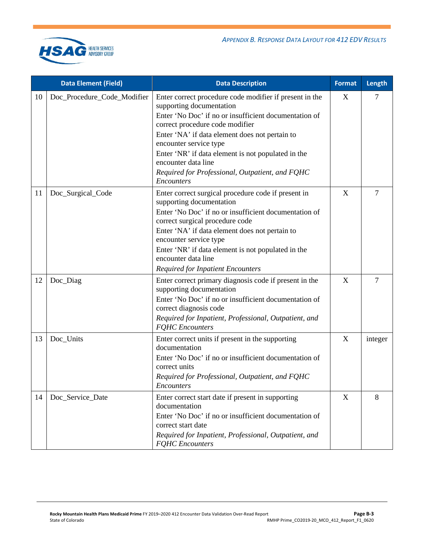

|    | <b>Data Element (Field)</b> | <b>Data Description</b>                                                                                                                                                                                                                                                                                                                                                                                          | <b>Format</b> | Length         |
|----|-----------------------------|------------------------------------------------------------------------------------------------------------------------------------------------------------------------------------------------------------------------------------------------------------------------------------------------------------------------------------------------------------------------------------------------------------------|---------------|----------------|
| 10 | Doc_Procedure_Code_Modifier | Enter correct procedure code modifier if present in the<br>supporting documentation<br>Enter 'No Doc' if no or insufficient documentation of<br>correct procedure code modifier<br>Enter 'NA' if data element does not pertain to<br>encounter service type<br>Enter 'NR' if data element is not populated in the<br>encounter data line<br>Required for Professional, Outpatient, and FQHC<br><b>Encounters</b> | X             | 7              |
| 11 | Doc_Surgical_Code           | Enter correct surgical procedure code if present in<br>supporting documentation<br>Enter 'No Doc' if no or insufficient documentation of<br>correct surgical procedure code<br>Enter 'NA' if data element does not pertain to<br>encounter service type<br>Enter 'NR' if data element is not populated in the<br>encounter data line<br><b>Required for Inpatient Encounters</b>                                 | X             | $\overline{7}$ |
| 12 | Doc_Diag                    | Enter correct primary diagnosis code if present in the<br>supporting documentation<br>Enter 'No Doc' if no or insufficient documentation of<br>correct diagnosis code<br>Required for Inpatient, Professional, Outpatient, and<br><b>FQHC</b> Encounters                                                                                                                                                         | X             | $\overline{7}$ |
| 13 | Doc_Units                   | Enter correct units if present in the supporting<br>documentation<br>Enter 'No Doc' if no or insufficient documentation of<br>correct units<br>Required for Professional, Outpatient, and FQHC<br>Encounters                                                                                                                                                                                                     | X             | integer        |
| 14 | Doc_Service_Date            | Enter correct start date if present in supporting<br>documentation<br>Enter 'No Doc' if no or insufficient documentation of<br>correct start date<br>Required for Inpatient, Professional, Outpatient, and<br><b>FQHC</b> Encounters                                                                                                                                                                             | X             | 8              |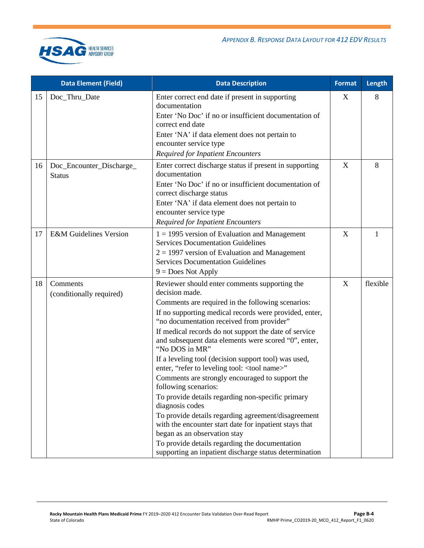

|    | <b>Data Element (Field)</b>               | <b>Data Description</b>                                                                                                                                                                                                                                                                                                                                                                                                                                                                                                                                                                                                                                                                                                                                                                                                                                                                 | <b>Format</b> | Length   |
|----|-------------------------------------------|-----------------------------------------------------------------------------------------------------------------------------------------------------------------------------------------------------------------------------------------------------------------------------------------------------------------------------------------------------------------------------------------------------------------------------------------------------------------------------------------------------------------------------------------------------------------------------------------------------------------------------------------------------------------------------------------------------------------------------------------------------------------------------------------------------------------------------------------------------------------------------------------|---------------|----------|
| 15 | Doc_Thru_Date                             | Enter correct end date if present in supporting<br>documentation<br>Enter 'No Doc' if no or insufficient documentation of<br>correct end date<br>Enter 'NA' if data element does not pertain to<br>encounter service type<br><b>Required for Inpatient Encounters</b>                                                                                                                                                                                                                                                                                                                                                                                                                                                                                                                                                                                                                   | X             | 8        |
| 16 | Doc_Encounter_Discharge_<br><b>Status</b> | Enter correct discharge status if present in supporting<br>documentation<br>Enter 'No Doc' if no or insufficient documentation of<br>correct discharge status<br>Enter 'NA' if data element does not pertain to<br>encounter service type<br><b>Required for Inpatient Encounters</b>                                                                                                                                                                                                                                                                                                                                                                                                                                                                                                                                                                                                   | X             | 8        |
| 17 | <b>E&amp;M</b> Guidelines Version         | $1 = 1995$ version of Evaluation and Management<br><b>Services Documentation Guidelines</b><br>$2 = 1997$ version of Evaluation and Management<br><b>Services Documentation Guidelines</b><br>$9 = Does Not Apply$                                                                                                                                                                                                                                                                                                                                                                                                                                                                                                                                                                                                                                                                      | X             | 1        |
| 18 | Comments<br>(conditionally required)      | Reviewer should enter comments supporting the<br>decision made.<br>Comments are required in the following scenarios:<br>If no supporting medical records were provided, enter,<br>"no documentation received from provider"<br>If medical records do not support the date of service<br>and subsequent data elements were scored "0", enter,<br>"No DOS in MR"<br>If a leveling tool (decision support tool) was used,<br>enter, "refer to leveling tool: < tool name>"<br>Comments are strongly encouraged to support the<br>following scenarios:<br>To provide details regarding non-specific primary<br>diagnosis codes<br>To provide details regarding agreement/disagreement<br>with the encounter start date for inpatient stays that<br>began as an observation stay<br>To provide details regarding the documentation<br>supporting an inpatient discharge status determination | X             | flexible |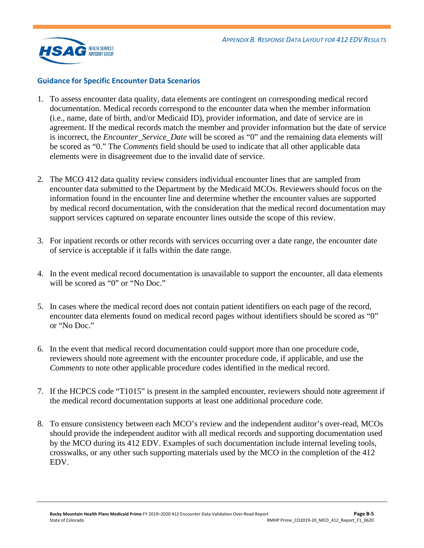

#### **Guidance for Specific Encounter Data Scenarios**

- 1. To assess encounter data quality, data elements are contingent on corresponding medical record documentation. Medical records correspond to the encounter data when the member information (i.e., name, date of birth, and/or Medicaid ID), provider information, and date of service are in agreement. If the medical records match the member and provider information but the date of service is incorrect, the *Encounter\_Service\_Date* will be scored as "0" and the remaining data elements will be scored as "0." The *Comments* field should be used to indicate that all other applicable data elements were in disagreement due to the invalid date of service.
- 2. The MCO 412 data quality review considers individual encounter lines that are sampled from encounter data submitted to the Department by the Medicaid MCOs. Reviewers should focus on the information found in the encounter line and determine whether the encounter values are supported by medical record documentation, with the consideration that the medical record documentation may support services captured on separate encounter lines outside the scope of this review.
- 3. For inpatient records or other records with services occurring over a date range, the encounter date of service is acceptable if it falls within the date range.
- 4. In the event medical record documentation is unavailable to support the encounter, all data elements will be scored as "0" or "No Doc."
- 5. In cases where the medical record does not contain patient identifiers on each page of the record, encounter data elements found on medical record pages without identifiers should be scored as "0" or "No Doc."
- 6. In the event that medical record documentation could support more than one procedure code, reviewers should note agreement with the encounter procedure code, if applicable, and use the *Comments* to note other applicable procedure codes identified in the medical record.
- 7. If the HCPCS code "T1015" is present in the sampled encounter, reviewers should note agreement if the medical record documentation supports at least one additional procedure code.
- 8. To ensure consistency between each MCO's review and the independent auditor's over-read, MCOs should provide the independent auditor with all medical records and supporting documentation used by the MCO during its 412 EDV. Examples of such documentation include internal leveling tools, crosswalks, or any other such supporting materials used by the MCO in the completion of the 412 EDV.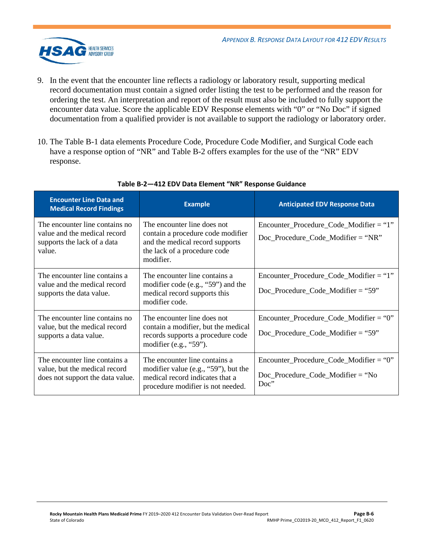

- 9. In the event that the encounter line reflects a radiology or laboratory result, supporting medical record documentation must contain a signed order listing the test to be performed and the reason for ordering the test. An interpretation and report of the result must also be included to fully support the encounter data value. Score the applicable EDV Response elements with "0" or "No Doc" if signed documentation from a qualified provider is not available to support the radiology or laboratory order.
- 10. The [Table B-1](#page-18-2) data elements Procedure Code, Procedure Code Modifier, and Surgical Code each have a response option of "NR" and [Table B-2](#page-23-0) offers examples for the use of the "NR" EDV response.

<span id="page-23-0"></span>

| <b>Encounter Line Data and</b><br><b>Medical Record Findings</b>                                        | <b>Example</b>                                                                                                                                    | <b>Anticipated EDV Response Data</b>                                                                   |
|---------------------------------------------------------------------------------------------------------|---------------------------------------------------------------------------------------------------------------------------------------------------|--------------------------------------------------------------------------------------------------------|
| The encounter line contains no<br>value and the medical record<br>supports the lack of a data<br>value. | The encounter line does not<br>contain a procedure code modifier<br>and the medical record supports<br>the lack of a procedure code<br>modifier.  | $Encoder\_Proceedure\_Code\_Modification = "1"$<br>$Doc\_Proceedure\_Code\_Modification = "NR"$        |
| The encounter line contains a<br>value and the medical record<br>supports the data value.               | The encounter line contains a<br>modifier code (e.g., " $59$ ") and the<br>medical record supports this<br>modifier code.                         | $Encoder\_Proceedure\_Code\_Modification = "1"$<br>$Doc\_Proceedure\_Code\_Modification = "59"$        |
| The encounter line contains no<br>value, but the medical record<br>supports a data value.               | The encounter line does not<br>contain a modifier, but the medical<br>records supports a procedure code<br>modifier (e.g., " $59$ ").             | $Encoder\_Proceedure\_Code\_Modification = "0"$<br>$Doc\_Proceedure\_Code\_Modification = "59"$        |
| The encounter line contains a<br>value, but the medical record<br>does not support the data value.      | The encounter line contains a<br>modifier value (e.g., " $59$ "), but the<br>medical record indicates that a<br>procedure modifier is not needed. | $Encoder\_Proceedure\_Code\_Modification = "0"$<br>$Doc\_Proceedure\_Code\_Modification = "No$<br>Doc" |

#### **Table B-2—412 EDV Data Element "NR" Response Guidance**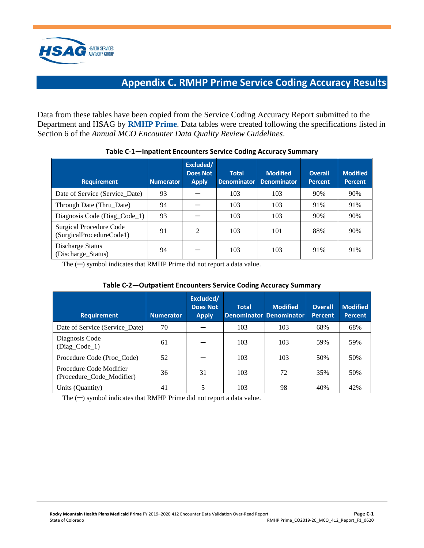<span id="page-24-1"></span>

# **Appendix C. RMHP Prime Service Coding Accuracy Results**

<span id="page-24-0"></span>Data from these tables have been copied from the Service Coding Accuracy Report submitted to the Department and HSAG by **RMHP Prime**. Data tables were created following the specifications listed in Section 6 of the *Annual MCO Encounter Data Quality Review Guidelines*.

| <b>Requirement</b>                                  | <b>Numerator</b> | Excluded/<br><b>Does Not</b><br><b>Apply</b> | <b>Total</b><br><b>Denominator</b> | <b>Modified</b><br><b>Denominator</b> | <b>Overall</b><br><b>Percent</b> | <b>Modified</b><br><b>Percent</b> |
|-----------------------------------------------------|------------------|----------------------------------------------|------------------------------------|---------------------------------------|----------------------------------|-----------------------------------|
| Date of Service (Service Date)                      | 93               |                                              | 103                                | 103                                   | 90%                              | 90%                               |
| Through Date (Thru_Date)                            | 94               |                                              | 103                                | 103                                   | 91%                              | 91%                               |
| Diagnosis Code (Diag_Code_1)                        | 93               |                                              | 103                                | 103                                   | 90%                              | 90%                               |
| Surgical Procedure Code<br>(SurgicalProcedureCode1) | 91               | 2                                            | 103                                | 101                                   | 88%                              | 90%                               |
| Discharge Status<br>(Discharge_Status)              | 94               |                                              | 103                                | 103                                   | 91%                              | 91%                               |

#### **Table C-1—Inpatient Encounters Service Coding Accuracy Summary**

The (─) symbol indicates that RMHP Prime did not report a data value.

#### **Table C-2—Outpatient Encounters Service Coding Accuracy Summary**

| <b>Requirement</b>                                   | <b>Numerator</b> | Excluded/<br><b>Does Not</b><br><b>Apply</b> | <b>Total</b> | <b>Modified</b><br><b>Denominator Denominator</b> | <b>Overall</b><br>Percent | <b>Modified</b><br><b>Percent</b> |
|------------------------------------------------------|------------------|----------------------------------------------|--------------|---------------------------------------------------|---------------------------|-----------------------------------|
| Date of Service (Service Date)                       | 70               |                                              | 103          | 103                                               | 68%                       | 68%                               |
| Diagnosis Code<br>$(Diag\_Code_1)$                   | 61               |                                              | 103          | 103                                               | 59%                       | 59%                               |
| Procedure Code (Proc_Code)                           | 52               |                                              | 103          | 103                                               | 50%                       | 50%                               |
| Procedure Code Modifier<br>(Procedure_Code_Modifier) | 36               | 31                                           | 103          | 72                                                | 35%                       | 50%                               |
| Units (Quantity)                                     | 41               |                                              | 103          | 98                                                | 40%                       | 42%                               |

The  $(-)$  symbol indicates that RMHP Prime did not report a data value.